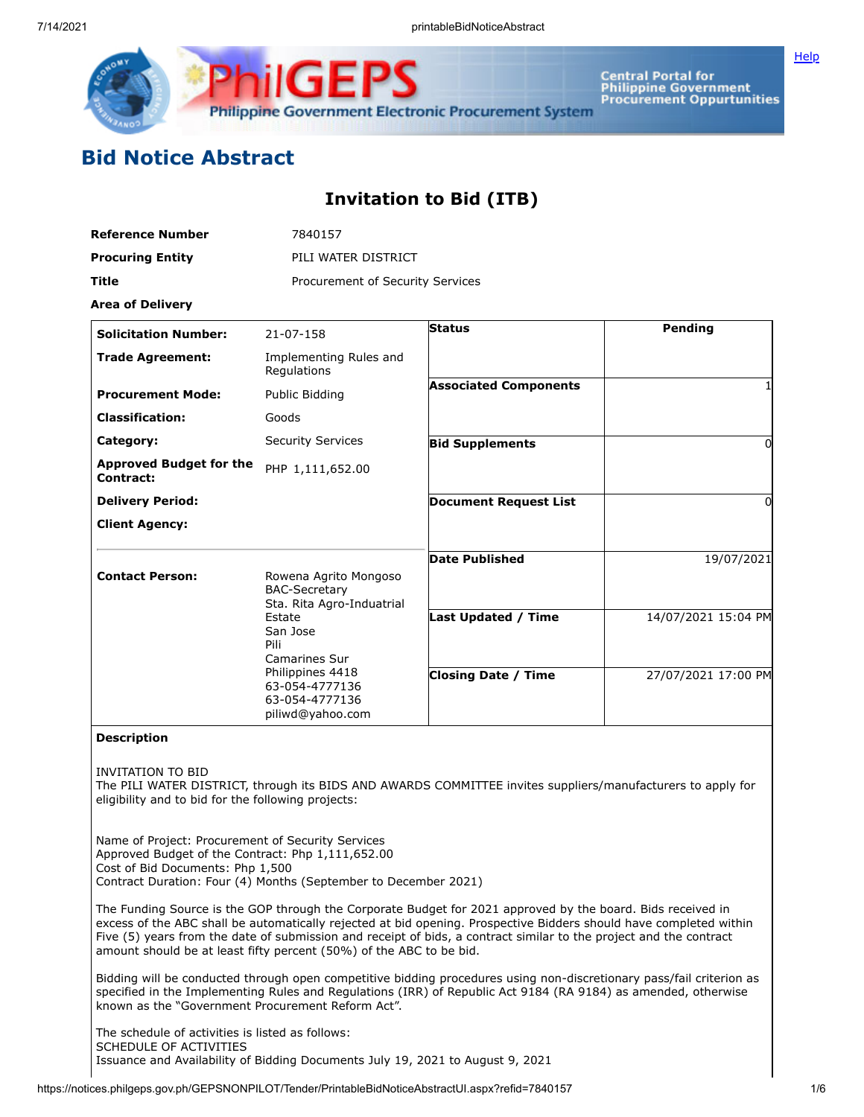

**Central Portal for<br>Philippine Government Procurement Oppurtunities**  **[Help](javascript:void(window.open()** 

# **Bid Notice Abstract**

## **Invitation to Bid (ITB)**

| Reference Number        | 7840157                          |
|-------------------------|----------------------------------|
| <b>Procuring Entity</b> | PILI WATER DISTRICT              |
| Title                   | Procurement of Security Services |

**Area of Delivery**

| <b>Solicitation Number:</b>                 | 21-07-158                                                                                                                                                                                             | <b>Status</b>                | Pending             |
|---------------------------------------------|-------------------------------------------------------------------------------------------------------------------------------------------------------------------------------------------------------|------------------------------|---------------------|
| <b>Trade Agreement:</b>                     | Implementing Rules and<br>Regulations                                                                                                                                                                 |                              |                     |
| <b>Procurement Mode:</b>                    | Public Bidding                                                                                                                                                                                        | <b>Associated Components</b> |                     |
| <b>Classification:</b>                      | Goods                                                                                                                                                                                                 |                              |                     |
| Category:                                   | <b>Security Services</b>                                                                                                                                                                              | <b>Bid Supplements</b>       | 0                   |
| <b>Approved Budget for the</b><br>Contract: | PHP 1,111,652.00                                                                                                                                                                                      |                              |                     |
| <b>Delivery Period:</b>                     |                                                                                                                                                                                                       | <b>Document Request List</b> | 0                   |
| <b>Client Agency:</b>                       |                                                                                                                                                                                                       |                              |                     |
| <b>Contact Person:</b>                      | Rowena Agrito Mongoso<br><b>BAC-Secretary</b><br>Sta. Rita Agro-Induatrial<br>Estate<br>San Jose<br>Pili<br>Camarines Sur<br>Philippines 4418<br>63-054-4777136<br>63-054-4777136<br>piliwd@yahoo.com | <b>Date Published</b>        | 19/07/2021          |
|                                             |                                                                                                                                                                                                       | <b>Last Updated / Time</b>   | 14/07/2021 15:04 PM |
|                                             |                                                                                                                                                                                                       | <b>Closing Date / Time</b>   | 27/07/2021 17:00 PM |

### **Description**

INVITATION TO BID

The PILI WATER DISTRICT, through its BIDS AND AWARDS COMMITTEE invites suppliers/manufacturers to apply for eligibility and to bid for the following projects:

Name of Project: Procurement of Security Services Approved Budget of the Contract: Php 1,111,652.00 Cost of Bid Documents: Php 1,500 Contract Duration: Four (4) Months (September to December 2021)

The Funding Source is the GOP through the Corporate Budget for 2021 approved by the board. Bids received in excess of the ABC shall be automatically rejected at bid opening. Prospective Bidders should have completed within Five (5) years from the date of submission and receipt of bids, a contract similar to the project and the contract amount should be at least fifty percent (50%) of the ABC to be bid.

Bidding will be conducted through open competitive bidding procedures using non-discretionary pass/fail criterion as specified in the Implementing Rules and Regulations (IRR) of Republic Act 9184 (RA 9184) as amended, otherwise known as the "Government Procurement Reform Act".

The schedule of activities is listed as follows: SCHEDULE OF ACTIVITIES Issuance and Availability of Bidding Documents July 19, 2021 to August 9, 2021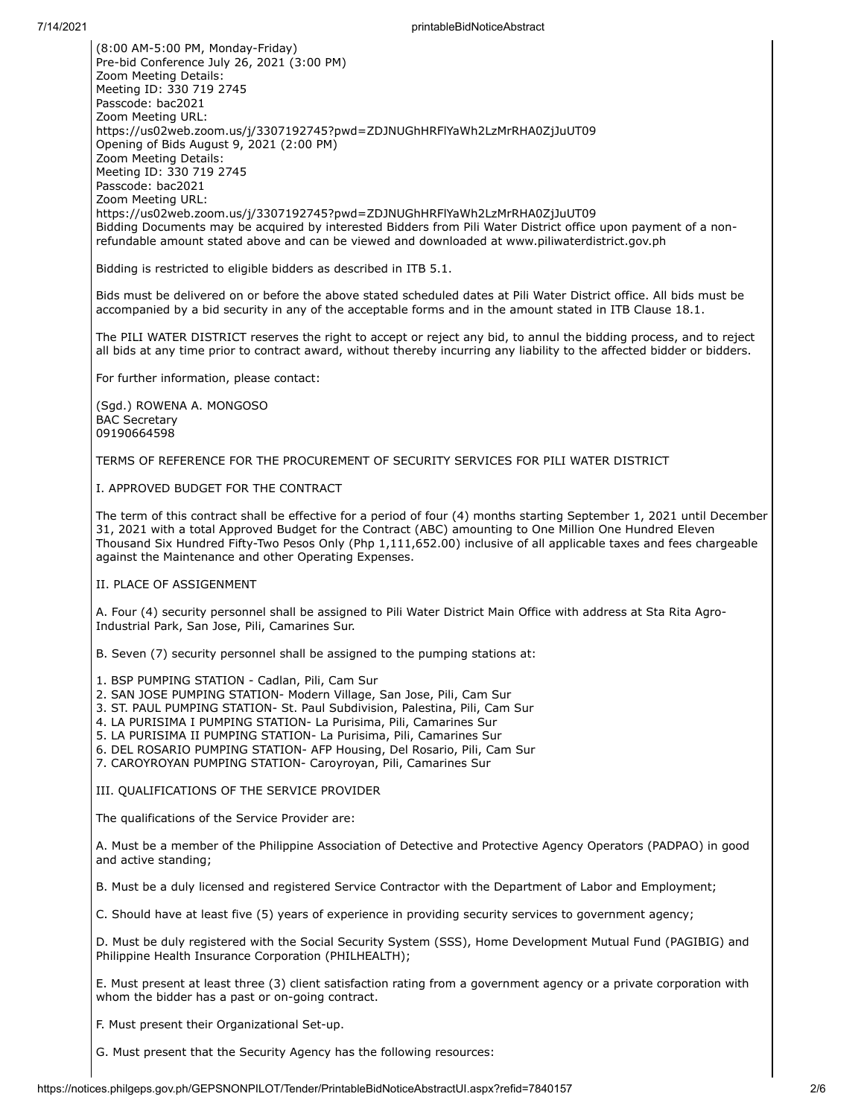7/14/2021 printableBidNoticeAbstract (8:00 AM-5:00 PM, Monday-Friday) Pre-bid Conference July 26, 2021 (3:00 PM) Zoom Meeting Details: Meeting ID: 330 719 2745 Passcode: bac2021 Zoom Meeting URL: https://us02web.zoom.us/j/3307192745?pwd=ZDJNUGhHRFlYaWh2LzMrRHA0ZjJuUT09 Opening of Bids August 9, 2021 (2:00 PM) Zoom Meeting Details: Meeting ID: 330 719 2745 Passcode: bac2021 Zoom Meeting URL: https://us02web.zoom.us/j/3307192745?pwd=ZDJNUGhHRFlYaWh2LzMrRHA0ZjJuUT09 Bidding Documents may be acquired by interested Bidders from Pili Water District office upon payment of a nonrefundable amount stated above and can be viewed and downloaded at www.piliwaterdistrict.gov.ph Bidding is restricted to eligible bidders as described in ITB 5.1. Bids must be delivered on or before the above stated scheduled dates at Pili Water District office. All bids must be accompanied by a bid security in any of the acceptable forms and in the amount stated in ITB Clause 18.1. The PILI WATER DISTRICT reserves the right to accept or reject any bid, to annul the bidding process, and to reject all bids at any time prior to contract award, without thereby incurring any liability to the affected bidder or bidders. For further information, please contact: (Sgd.) ROWENA A. MONGOSO BAC Secretary 09190664598 TERMS OF REFERENCE FOR THE PROCUREMENT OF SECURITY SERVICES FOR PILI WATER DISTRICT I. APPROVED BUDGET FOR THE CONTRACT The term of this contract shall be effective for a period of four (4) months starting September 1, 2021 until December 31, 2021 with a total Approved Budget for the Contract (ABC) amounting to One Million One Hundred Eleven Thousand Six Hundred Fifty-Two Pesos Only (Php 1,111,652.00) inclusive of all applicable taxes and fees chargeable against the Maintenance and other Operating Expenses. II. PLACE OF ASSIGENMENT A. Four (4) security personnel shall be assigned to Pili Water District Main Office with address at Sta Rita Agro-Industrial Park, San Jose, Pili, Camarines Sur. B. Seven (7) security personnel shall be assigned to the pumping stations at: 1. BSP PUMPING STATION - Cadlan, Pili, Cam Sur 2. SAN JOSE PUMPING STATION- Modern Village, San Jose, Pili, Cam Sur 3. ST. PAUL PUMPING STATION- St. Paul Subdivision, Palestina, Pili, Cam Sur 4. LA PURISIMA I PUMPING STATION- La Purisima, Pili, Camarines Sur 5. LA PURISIMA II PUMPING STATION- La Purisima, Pili, Camarines Sur 6. DEL ROSARIO PUMPING STATION- AFP Housing, Del Rosario, Pili, Cam Sur 7. CAROYROYAN PUMPING STATION- Caroyroyan, Pili, Camarines Sur III. QUALIFICATIONS OF THE SERVICE PROVIDER The qualifications of the Service Provider are: A. Must be a member of the Philippine Association of Detective and Protective Agency Operators (PADPAO) in good and active standing; B. Must be a duly licensed and registered Service Contractor with the Department of Labor and Employment; C. Should have at least five (5) years of experience in providing security services to government agency; D. Must be duly registered with the Social Security System (SSS), Home Development Mutual Fund (PAGIBIG) and Philippine Health Insurance Corporation (PHILHEALTH); E. Must present at least three (3) client satisfaction rating from a government agency or a private corporation with whom the bidder has a past or on-going contract.

F. Must present their Organizational Set-up.

G. Must present that the Security Agency has the following resources: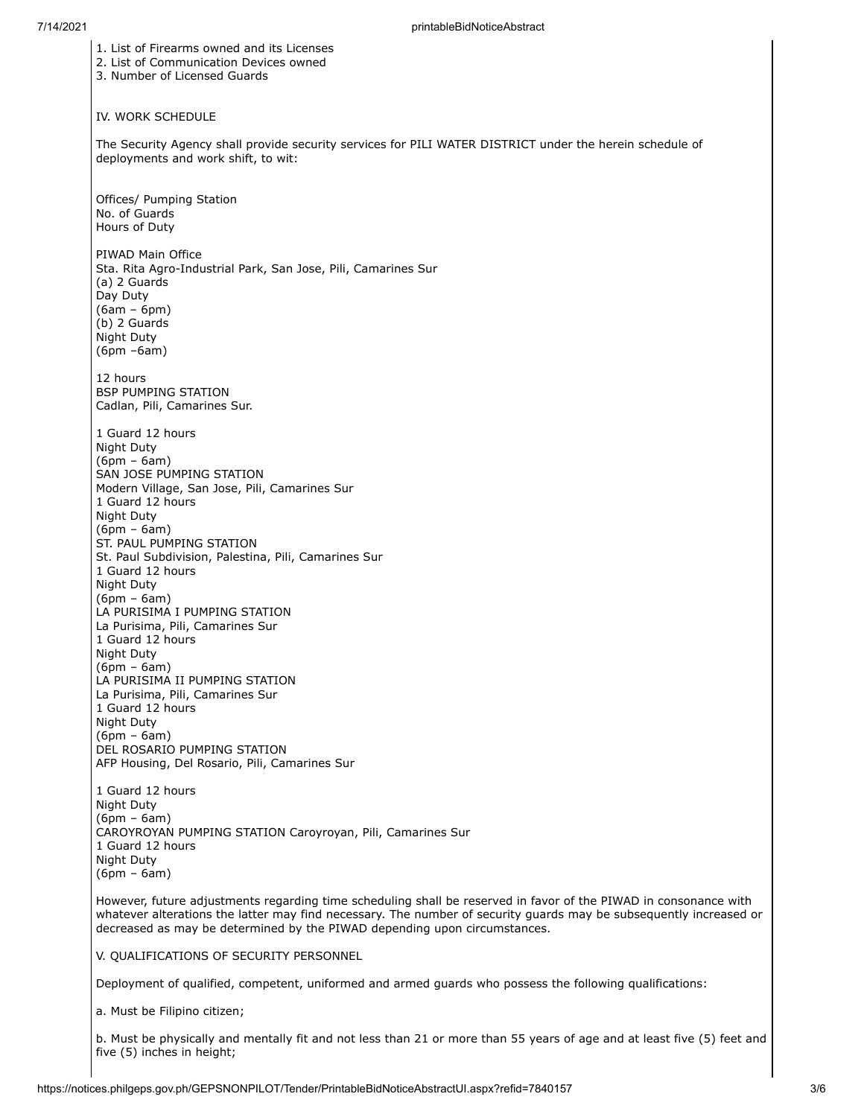1. List of Firearms owned and its Licenses 2. List of Communication Devices owned 3. Number of Licensed Guards IV. WORK SCHEDULE The Security Agency shall provide security services for PILI WATER DISTRICT under the herein schedule of deployments and work shift, to wit: Offices/ Pumping Station No. of Guards Hours of Duty PIWAD Main Office Sta. Rita Agro-Industrial Park, San Jose, Pili, Camarines Sur (a) 2 Guards Day Duty (6am – 6pm) (b) 2 Guards Night Duty (6pm –6am) 12 hours BSP PUMPING STATION Cadlan, Pili, Camarines Sur. 1 Guard 12 hours Night Duty (6pm – 6am) SAN JOSE PUMPING STATION Modern Village, San Jose, Pili, Camarines Sur 1 Guard 12 hours Night Duty (6pm – 6am) ST. PAUL PUMPING STATION St. Paul Subdivision, Palestina, Pili, Camarines Sur 1 Guard 12 hours Night Duty (6pm – 6am) LA PURISIMA I PUMPING STATION La Purisima, Pili, Camarines Sur 1 Guard 12 hours Night Duty (6pm – 6am) LA PURISIMA II PUMPING STATION La Purisima, Pili, Camarines Sur 1 Guard 12 hours Night Duty (6pm – 6am) DEL ROSARIO PUMPING STATION AFP Housing, Del Rosario, Pili, Camarines Sur 1 Guard 12 hours Night Duty (6pm – 6am) CAROYROYAN PUMPING STATION Caroyroyan, Pili, Camarines Sur 1 Guard 12 hours Night Duty (6pm – 6am) However, future adjustments regarding time scheduling shall be reserved in favor of the PIWAD in consonance with whatever alterations the latter may find necessary. The number of security guards may be subsequently increased or decreased as may be determined by the PIWAD depending upon circumstances. V. QUALIFICATIONS OF SECURITY PERSONNEL Deployment of qualified, competent, uniformed and armed guards who possess the following qualifications:

a. Must be Filipino citizen;

b. Must be physically and mentally fit and not less than 21 or more than 55 years of age and at least five (5) feet and five (5) inches in height;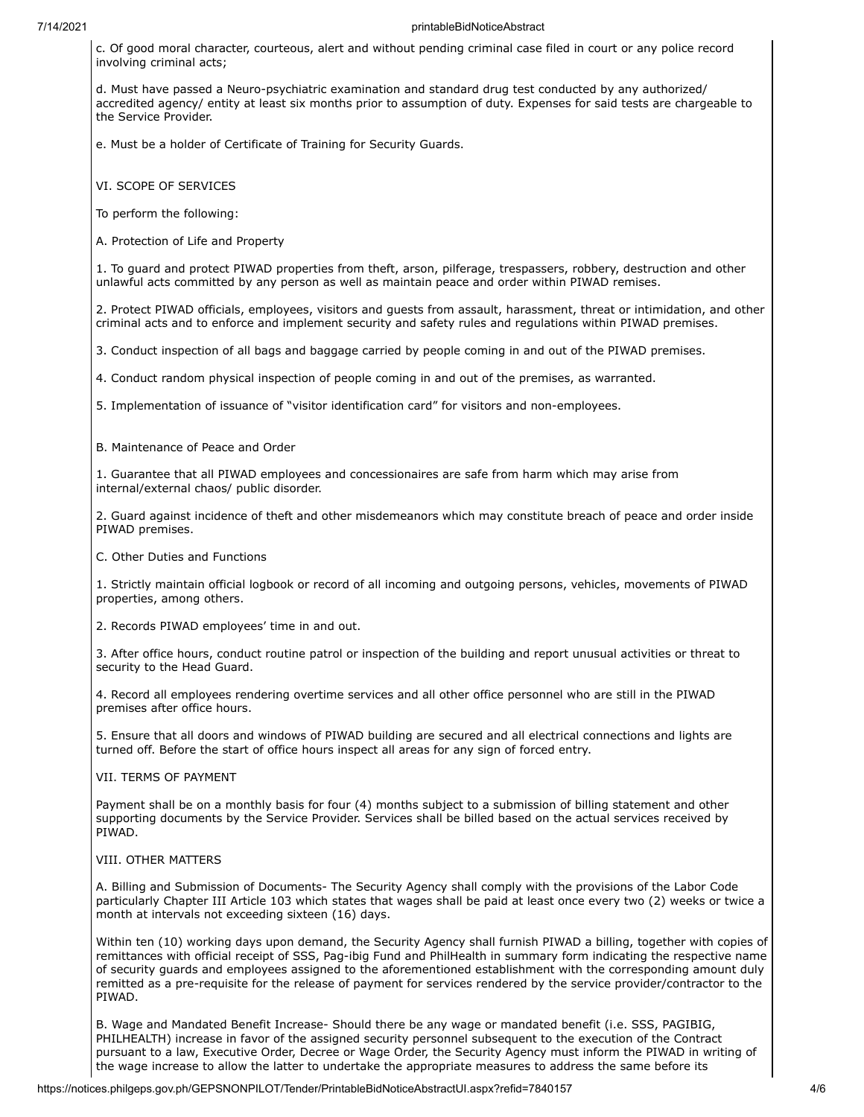c. Of good moral character, courteous, alert and without pending criminal case filed in court or any police record involving criminal acts;

d. Must have passed a Neuro-psychiatric examination and standard drug test conducted by any authorized/ accredited agency/ entity at least six months prior to assumption of duty. Expenses for said tests are chargeable to the Service Provider.

e. Must be a holder of Certificate of Training for Security Guards.

VI. SCOPE OF SERVICES

To perform the following:

A. Protection of Life and Property

1. To guard and protect PIWAD properties from theft, arson, pilferage, trespassers, robbery, destruction and other unlawful acts committed by any person as well as maintain peace and order within PIWAD remises.

2. Protect PIWAD officials, employees, visitors and guests from assault, harassment, threat or intimidation, and other criminal acts and to enforce and implement security and safety rules and regulations within PIWAD premises.

3. Conduct inspection of all bags and baggage carried by people coming in and out of the PIWAD premises.

4. Conduct random physical inspection of people coming in and out of the premises, as warranted.

5. Implementation of issuance of "visitor identification card" for visitors and non-employees.

B. Maintenance of Peace and Order

1. Guarantee that all PIWAD employees and concessionaires are safe from harm which may arise from internal/external chaos/ public disorder.

2. Guard against incidence of theft and other misdemeanors which may constitute breach of peace and order inside PIWAD premises.

C. Other Duties and Functions

1. Strictly maintain official logbook or record of all incoming and outgoing persons, vehicles, movements of PIWAD properties, among others.

2. Records PIWAD employees' time in and out.

3. After office hours, conduct routine patrol or inspection of the building and report unusual activities or threat to security to the Head Guard.

4. Record all employees rendering overtime services and all other office personnel who are still in the PIWAD premises after office hours.

5. Ensure that all doors and windows of PIWAD building are secured and all electrical connections and lights are turned off. Before the start of office hours inspect all areas for any sign of forced entry.

VII. TERMS OF PAYMENT

Payment shall be on a monthly basis for four (4) months subject to a submission of billing statement and other supporting documents by the Service Provider. Services shall be billed based on the actual services received by PIWAD.

#### VIII. OTHER MATTERS

A. Billing and Submission of Documents- The Security Agency shall comply with the provisions of the Labor Code particularly Chapter III Article 103 which states that wages shall be paid at least once every two (2) weeks or twice a month at intervals not exceeding sixteen (16) days.

Within ten (10) working days upon demand, the Security Agency shall furnish PIWAD a billing, together with copies of remittances with official receipt of SSS, Pag-ibig Fund and PhilHealth in summary form indicating the respective name of security guards and employees assigned to the aforementioned establishment with the corresponding amount duly remitted as a pre-requisite for the release of payment for services rendered by the service provider/contractor to the PIWAD.

B. Wage and Mandated Benefit Increase- Should there be any wage or mandated benefit (i.e. SSS, PAGIBIG, PHILHEALTH) increase in favor of the assigned security personnel subsequent to the execution of the Contract pursuant to a law, Executive Order, Decree or Wage Order, the Security Agency must inform the PIWAD in writing of the wage increase to allow the latter to undertake the appropriate measures to address the same before its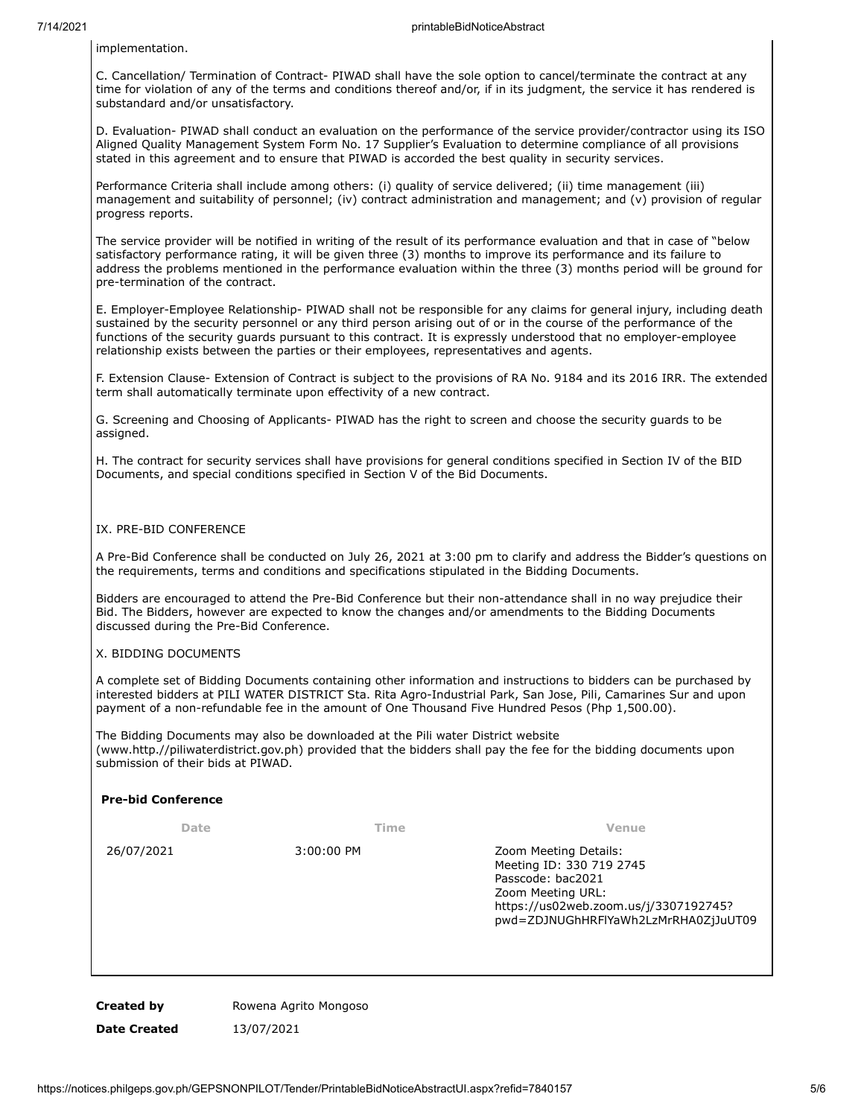implementation.

C. Cancellation/ Termination of Contract- PIWAD shall have the sole option to cancel/terminate the contract at any time for violation of any of the terms and conditions thereof and/or, if in its judgment, the service it has rendered is substandard and/or unsatisfactory.

D. Evaluation- PIWAD shall conduct an evaluation on the performance of the service provider/contractor using its ISO Aligned Quality Management System Form No. 17 Supplier's Evaluation to determine compliance of all provisions stated in this agreement and to ensure that PIWAD is accorded the best quality in security services.

Performance Criteria shall include among others: (i) quality of service delivered; (ii) time management (iii) management and suitability of personnel; (iv) contract administration and management; and (v) provision of regular progress reports.

The service provider will be notified in writing of the result of its performance evaluation and that in case of "below satisfactory performance rating, it will be given three (3) months to improve its performance and its failure to address the problems mentioned in the performance evaluation within the three (3) months period will be ground for pre-termination of the contract.

E. Employer-Employee Relationship- PIWAD shall not be responsible for any claims for general injury, including death sustained by the security personnel or any third person arising out of or in the course of the performance of the functions of the security guards pursuant to this contract. It is expressly understood that no employer-employee relationship exists between the parties or their employees, representatives and agents.

F. Extension Clause- Extension of Contract is subject to the provisions of RA No. 9184 and its 2016 IRR. The extended term shall automatically terminate upon effectivity of a new contract.

G. Screening and Choosing of Applicants- PIWAD has the right to screen and choose the security guards to be assigned.

H. The contract for security services shall have provisions for general conditions specified in Section IV of the BID Documents, and special conditions specified in Section V of the Bid Documents.

#### IX. PRE-BID CONFERENCE

A Pre-Bid Conference shall be conducted on July 26, 2021 at 3:00 pm to clarify and address the Bidder's questions on the requirements, terms and conditions and specifications stipulated in the Bidding Documents.

Bidders are encouraged to attend the Pre-Bid Conference but their non-attendance shall in no way prejudice their Bid. The Bidders, however are expected to know the changes and/or amendments to the Bidding Documents discussed during the Pre-Bid Conference.

#### X. BIDDING DOCUMENTS

**Pre-bid Conference**

A complete set of Bidding Documents containing other information and instructions to bidders can be purchased by interested bidders at PILI WATER DISTRICT Sta. Rita Agro-Industrial Park, San Jose, Pili, Camarines Sur and upon payment of a non-refundable fee in the amount of One Thousand Five Hundred Pesos (Php 1,500.00).

The Bidding Documents may also be downloaded at the Pili water District website (www.http.//piliwaterdistrict.gov.ph) provided that the bidders shall pay the fee for the bidding documents upon submission of their bids at PIWAD.

| Date       | Time         | Venue                                                                                                                                                                        |
|------------|--------------|------------------------------------------------------------------------------------------------------------------------------------------------------------------------------|
| 26/07/2021 | $3:00:00$ PM | Zoom Meeting Details:<br>Meeting ID: 330 719 2745<br>Passcode: bac2021<br>Zoom Meeting URL:<br>https://us02web.zoom.us/j/3307192745?<br>pwd=ZDJNUGhHRFIYaWh2LzMrRHA0ZjJuUT09 |
|            |              |                                                                                                                                                                              |

**Created by State Browena Agrito Mongoso Date Created** 13/07/2021